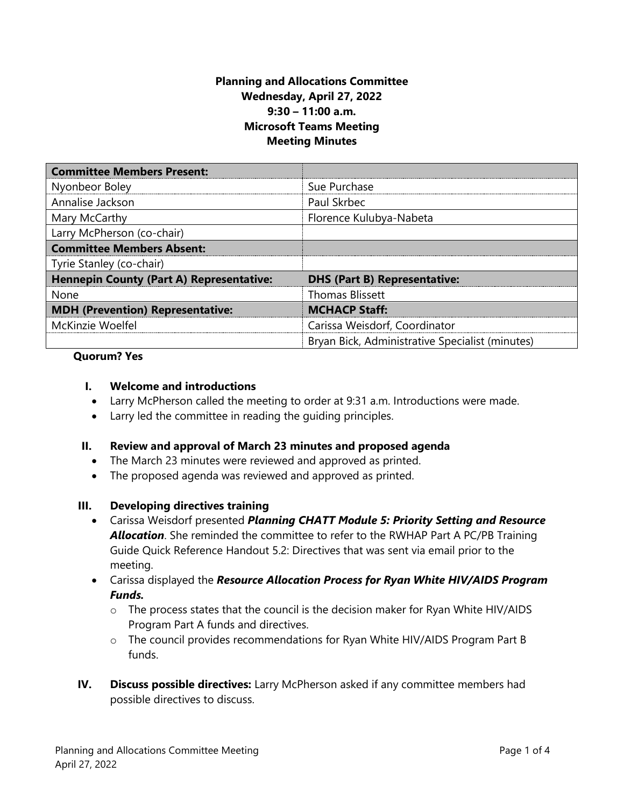## **Planning and Allocations Committee Wednesday, April 27, 2022 9:30 – 11:00 a.m. Microsoft Teams Meeting Meeting Minutes**

| <b>Committee Members Present:</b>               |                                                 |
|-------------------------------------------------|-------------------------------------------------|
| Nyonbeor Boley                                  | Sue Purchase                                    |
| Annalise Jackson                                | Paul Skrbec                                     |
| Mary McCarthy                                   | Florence Kulubya-Nabeta                         |
| Larry McPherson (co-chair)                      |                                                 |
| <b>Committee Members Absent:</b>                |                                                 |
| Tyrie Stanley (co-chair)                        |                                                 |
| <b>Hennepin County (Part A) Representative:</b> | <b>DHS (Part B) Representative:</b>             |
| None                                            | <b>Thomas Blissett</b>                          |
| <b>MDH</b> (Prevention) Representative:         | <b>MCHACP Staff:</b>                            |
| McKinzie Woelfel                                | Carissa Weisdorf, Coordinator                   |
|                                                 | Bryan Bick, Administrative Specialist (minutes) |

#### **Quorum? Yes**

### **I. Welcome and introductions**

- Larry McPherson called the meeting to order at 9:31 a.m. Introductions were made.
- Larry led the committee in reading the guiding principles.

### **II. Review and approval of March 23 minutes and proposed agenda**

- The March 23 minutes were reviewed and approved as printed.
- The proposed agenda was reviewed and approved as printed.

#### **III. Developing directives training**

- Carissa Weisdorf presented *Planning CHATT Module 5: Priority Setting and Resource Allocation*. She reminded the committee to refer to the RWHAP Part A PC/PB Training Guide Quick Reference Handout 5.2: Directives that was sent via email prior to the meeting.
- Carissa displayed the *Resource Allocation Process for Ryan White HIV/AIDS Program Funds.* 
	- $\circ$  The process states that the council is the decision maker for Ryan White HIV/AIDS Program Part A funds and directives.
	- o The council provides recommendations for Ryan White HIV/AIDS Program Part B funds.
- **IV. Discuss possible directives:** Larry McPherson asked if any committee members had possible directives to discuss.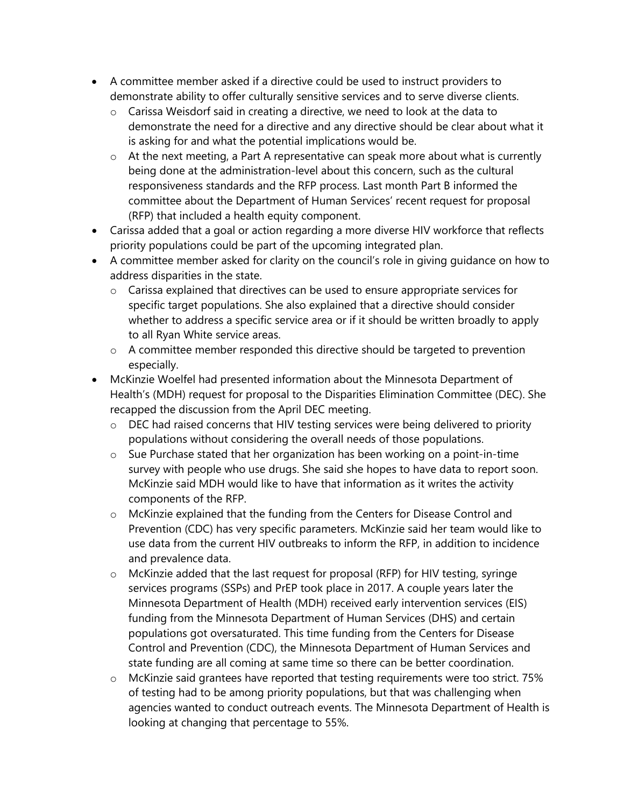- A committee member asked if a directive could be used to instruct providers to demonstrate ability to offer culturally sensitive services and to serve diverse clients.
	- o Carissa Weisdorf said in creating a directive, we need to look at the data to demonstrate the need for a directive and any directive should be clear about what it is asking for and what the potential implications would be.
	- o At the next meeting, a Part A representative can speak more about what is currently being done at the administration-level about this concern, such as the cultural responsiveness standards and the RFP process. Last month Part B informed the committee about the Department of Human Services' recent request for proposal (RFP) that included a health equity component.
- Carissa added that a goal or action regarding a more diverse HIV workforce that reflects priority populations could be part of the upcoming integrated plan.
- A committee member asked for clarity on the council's role in giving guidance on how to address disparities in the state.
	- o Carissa explained that directives can be used to ensure appropriate services for specific target populations. She also explained that a directive should consider whether to address a specific service area or if it should be written broadly to apply to all Ryan White service areas.
	- o A committee member responded this directive should be targeted to prevention especially.
- McKinzie Woelfel had presented information about the Minnesota Department of Health's (MDH) request for proposal to the Disparities Elimination Committee (DEC). She recapped the discussion from the April DEC meeting.
	- o DEC had raised concerns that HIV testing services were being delivered to priority populations without considering the overall needs of those populations.
	- o Sue Purchase stated that her organization has been working on a point-in-time survey with people who use drugs. She said she hopes to have data to report soon. McKinzie said MDH would like to have that information as it writes the activity components of the RFP.
	- o McKinzie explained that the funding from the Centers for Disease Control and Prevention (CDC) has very specific parameters. McKinzie said her team would like to use data from the current HIV outbreaks to inform the RFP, in addition to incidence and prevalence data.
	- o McKinzie added that the last request for proposal (RFP) for HIV testing, syringe services programs (SSPs) and PrEP took place in 2017. A couple years later the Minnesota Department of Health (MDH) received early intervention services (EIS) funding from the Minnesota Department of Human Services (DHS) and certain populations got oversaturated. This time funding from the Centers for Disease Control and Prevention (CDC), the Minnesota Department of Human Services and state funding are all coming at same time so there can be better coordination.
	- o McKinzie said grantees have reported that testing requirements were too strict. 75% of testing had to be among priority populations, but that was challenging when agencies wanted to conduct outreach events. The Minnesota Department of Health is looking at changing that percentage to 55%.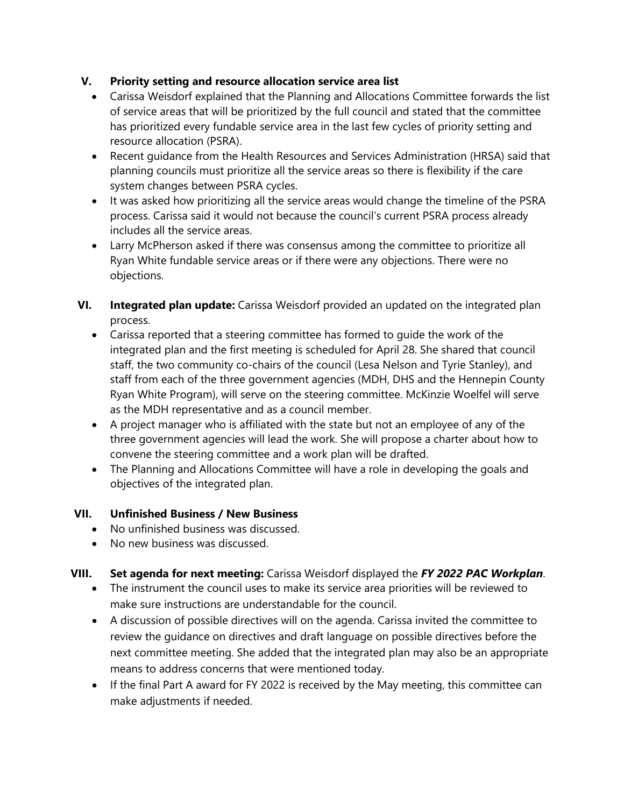# **V. Priority setting and resource allocation service area list**

- Carissa Weisdorf explained that the Planning and Allocations Committee forwards the list of service areas that will be prioritized by the full council and stated that the committee has prioritized every fundable service area in the last few cycles of priority setting and resource allocation (PSRA).
- Recent guidance from the Health Resources and Services Administration (HRSA) said that planning councils must prioritize all the service areas so there is flexibility if the care system changes between PSRA cycles.
- It was asked how prioritizing all the service areas would change the timeline of the PSRA process. Carissa said it would not because the council's current PSRA process already includes all the service areas.
- Larry McPherson asked if there was consensus among the committee to prioritize all Ryan White fundable service areas or if there were any objections. There were no objections.
- **VI. Integrated plan update:** Carissa Weisdorf provided an updated on the integrated plan process.
	- Carissa reported that a steering committee has formed to guide the work of the integrated plan and the first meeting is scheduled for April 28. She shared that council staff, the two community co-chairs of the council (Lesa Nelson and Tyrie Stanley), and staff from each of the three government agencies (MDH, DHS and the Hennepin County Ryan White Program), will serve on the steering committee. McKinzie Woelfel will serve as the MDH representative and as a council member.
	- A project manager who is affiliated with the state but not an employee of any of the three government agencies will lead the work. She will propose a charter about how to convene the steering committee and a work plan will be drafted.
	- The Planning and Allocations Committee will have a role in developing the goals and objectives of the integrated plan.

## **VII. Unfinished Business / New Business**

- No unfinished business was discussed.
- No new business was discussed.

# **VIII. Set agenda for next meeting:** Carissa Weisdorf displayed the *FY 2022 PAC Workplan*.

- The instrument the council uses to make its service area priorities will be reviewed to make sure instructions are understandable for the council.
- A discussion of possible directives will on the agenda. Carissa invited the committee to review the guidance on directives and draft language on possible directives before the next committee meeting. She added that the integrated plan may also be an appropriate means to address concerns that were mentioned today.
- If the final Part A award for FY 2022 is received by the May meeting, this committee can make adjustments if needed.